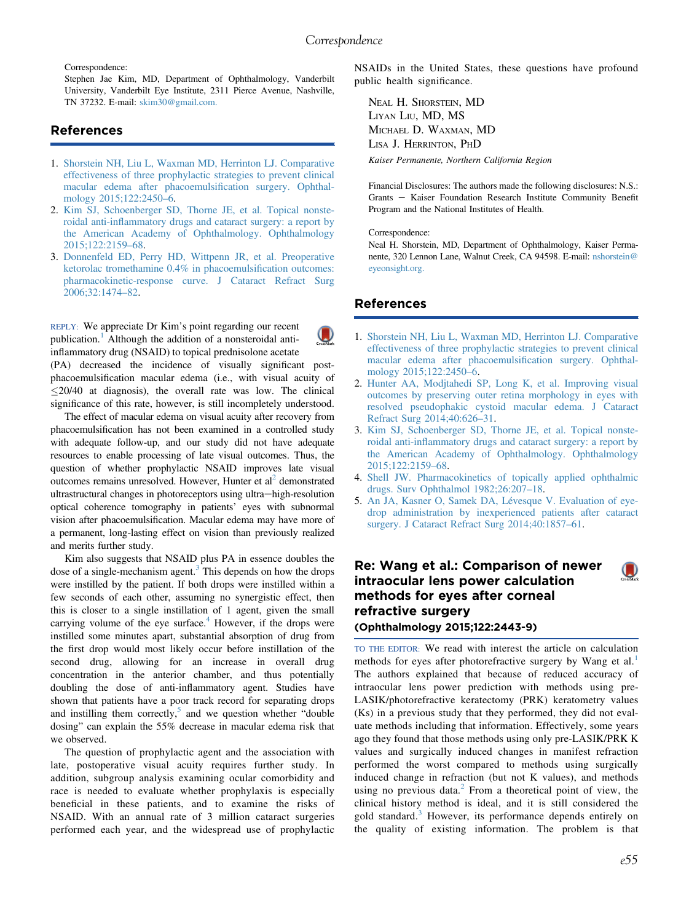Correspondence:

Stephen Jae Kim, MD, Department of Ophthalmology, Vanderbilt University, Vanderbilt Eye Institute, 2311 Pierce Avenue, Nashville, TN 37232. E-mail: [skim30@gmail.com.](mailto:skim30@gmail.com)

## References

- 1. [Shorstein NH, Liu L, Waxman MD, Herrinton LJ. Comparative](http://refhub.elsevier.com/S0161-6420(16)00210-4/sref1) [effectiveness of three prophylactic strategies to prevent clinical](http://refhub.elsevier.com/S0161-6420(16)00210-4/sref1) [macular edema after phacoemulsi](http://refhub.elsevier.com/S0161-6420(16)00210-4/sref1)fication surgery. Ophthal[mology 2015;122:2450](http://refhub.elsevier.com/S0161-6420(16)00210-4/sref1)–6.
- 2. [Kim SJ, Schoenberger SD, Thorne JE, et al. Topical nonste](http://refhub.elsevier.com/S0161-6420(16)00210-4/sref2)roidal anti-infl[ammatory drugs and cataract surgery: a report by](http://refhub.elsevier.com/S0161-6420(16)00210-4/sref2) [the American Academy of Ophthalmology. Ophthalmology](http://refhub.elsevier.com/S0161-6420(16)00210-4/sref2) [2015;122:2159](http://refhub.elsevier.com/S0161-6420(16)00210-4/sref2)–68.
- 3. [Donnenfeld ED, Perry HD, Wittpenn JR, et al. Preoperative](http://refhub.elsevier.com/S0161-6420(16)00210-4/sref3) [ketorolac tromethamine 0.4% in phacoemulsi](http://refhub.elsevier.com/S0161-6420(16)00210-4/sref3)fication outcomes: [pharmacokinetic-response curve. J Cataract Refract Surg](http://refhub.elsevier.com/S0161-6420(16)00210-4/sref3) [2006;32:1474](http://refhub.elsevier.com/S0161-6420(16)00210-4/sref3)–82.

REPLY: We appreciate Dr Kim's point regarding our recent publication.<sup>1</sup> Although the addition of a nonsteroidal antiinflammatory drug (NSAID) to topical prednisolone acetate

(PA) decreased the incidence of visually significant postphacoemulsification macular edema (i.e., with visual acuity of  $\leq$ 20/40 at diagnosis), the overall rate was low. The clinical significance of this rate, however, is still incompletely understood.

The effect of macular edema on visual acuity after recovery from phacoemulsification has not been examined in a controlled study with adequate follow-up, and our study did not have adequate resources to enable processing of late visual outcomes. Thus, the question of whether prophylactic NSAID improves late visual outcomes remains unresolved. However, Hunter et  $al<sup>2</sup>$  demonstrated ultrastructural changes in photoreceptors using ultra-high-resolution optical coherence tomography in patients' eyes with subnormal vision after phacoemulsification. Macular edema may have more of a permanent, long-lasting effect on vision than previously realized and merits further study.

Kim also suggests that NSAID plus PA in essence doubles the dose of a single-mechanism agent.<sup>3</sup> This depends on how the drops were instilled by the patient. If both drops were instilled within a few seconds of each other, assuming no synergistic effect, then this is closer to a single instillation of 1 agent, given the small carrying volume of the eye surface. $4$  However, if the drops were instilled some minutes apart, substantial absorption of drug from the first drop would most likely occur before instillation of the second drug, allowing for an increase in overall drug concentration in the anterior chamber, and thus potentially doubling the dose of anti-inflammatory agent. Studies have shown that patients have a poor track record for separating drops and instilling them correctly, $5$  and we question whether "double" dosing" can explain the 55% decrease in macular edema risk that we observed.

The question of prophylactic agent and the association with late, postoperative visual acuity requires further study. In addition, subgroup analysis examining ocular comorbidity and race is needed to evaluate whether prophylaxis is especially beneficial in these patients, and to examine the risks of NSAID. With an annual rate of 3 million cataract surgeries performed each year, and the widespread use of prophylactic

NSAIDs in the United States, these questions have profound public health significance.

NEAL H. SHORSTEIN, MD LIYAN LIU, MD, MS MICHAEL D. WAXMAN, MD LISA J. HERRINTON, PHD Kaiser Permanente, Northern California Region

Financial Disclosures: The authors made the following disclosures: N.S.: Grants - Kaiser Foundation Research Institute Community Benefit Program and the National Institutes of Health.

Correspondence:

Neal H. Shorstein, MD, Department of Ophthalmology, Kaiser Permanente, 320 Lennon Lane, Walnut Creek, CA 94598. E-mail: [nshorstein@](mailto:nshorstein@eyeonsight.org) [eyeonsight.org.](mailto:nshorstein@eyeonsight.org)

## References

- 1. [Shorstein NH, Liu L, Waxman MD, Herrinton LJ. Comparative](http://refhub.elsevier.com/S0161-6420(16)00210-4/sref1) [effectiveness of three prophylactic strategies to prevent clinical](http://refhub.elsevier.com/S0161-6420(16)00210-4/sref1) [macular edema after phacoemulsi](http://refhub.elsevier.com/S0161-6420(16)00210-4/sref1)fication surgery. Ophthal[mology 2015;122:2450](http://refhub.elsevier.com/S0161-6420(16)00210-4/sref1)–6.
- 2. [Hunter AA, Modjtahedi SP, Long K, et al. Improving visual](http://refhub.elsevier.com/S0161-6420(16)00210-4/sref2) [outcomes by preserving outer retina morphology in eyes with](http://refhub.elsevier.com/S0161-6420(16)00210-4/sref2) [resolved pseudophakic cystoid macular edema. J Cataract](http://refhub.elsevier.com/S0161-6420(16)00210-4/sref2) [Refract Surg 2014;40:626](http://refhub.elsevier.com/S0161-6420(16)00210-4/sref2)–31.
- 3. [Kim SJ, Schoenberger SD, Thorne JE, et al. Topical nonste](http://refhub.elsevier.com/S0161-6420(16)00210-4/sref3)roidal anti-infl[ammatory drugs and cataract surgery: a report by](http://refhub.elsevier.com/S0161-6420(16)00210-4/sref3) [the American Academy of Ophthalmology. Ophthalmology](http://refhub.elsevier.com/S0161-6420(16)00210-4/sref3) [2015;122:2159](http://refhub.elsevier.com/S0161-6420(16)00210-4/sref3)–68.
- 4. [Shell JW. Pharmacokinetics of topically applied ophthalmic](http://refhub.elsevier.com/S0161-6420(16)00210-4/sref4) [drugs. Surv Ophthalmol 1982;26:207](http://refhub.elsevier.com/S0161-6420(16)00210-4/sref4)–18.
- 5. [An JA, Kasner O, Samek DA, Lévesque V. Evaluation of eye](http://refhub.elsevier.com/S0161-6420(16)00210-4/sref5)[drop administration by inexperienced patients after cataract](http://refhub.elsevier.com/S0161-6420(16)00210-4/sref5) [surgery. J Cataract Refract Surg 2014;40:1857](http://refhub.elsevier.com/S0161-6420(16)00210-4/sref5)–61.

Re: Wang et al.: Comparison of newer intraocular lens power calculation methods for eyes after corneal refractive surgery (Ophthalmology 2015;122:2443-9)

TO THE EDITOR: We read with interest the article on calculation methods for eyes after photorefractive surgery by Wang et al.<sup>[1](#page-1-0)</sup> The authors explained that because of reduced accuracy of intraocular lens power prediction with methods using pre-LASIK/photorefractive keratectomy (PRK) keratometry values (Ks) in a previous study that they performed, they did not evaluate methods including that information. Effectively, some years ago they found that those methods using only pre-LASIK/PRK K values and surgically induced changes in manifest refraction performed the worst compared to methods using surgically induced change in refraction (but not K values), and methods using no previous data. $<sup>2</sup>$  $<sup>2</sup>$  $<sup>2</sup>$  From a theoretical point of view, the</sup> clinical history method is ideal, and it is still considered the gold standard.[3](#page-1-0) However, its performance depends entirely on the quality of existing information. The problem is that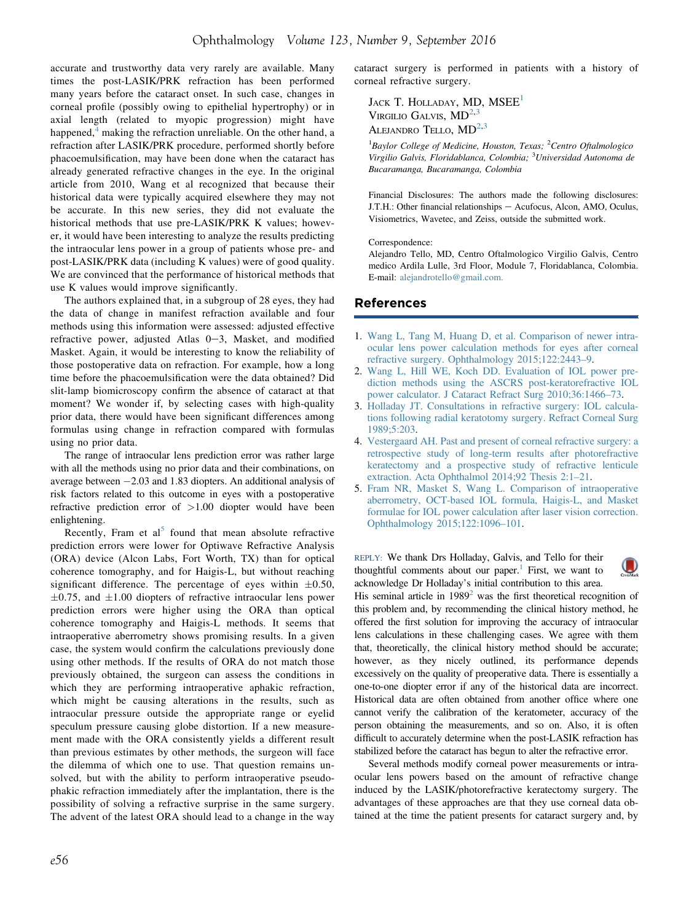<span id="page-1-0"></span>accurate and trustworthy data very rarely are available. Many times the post-LASIK/PRK refraction has been performed many years before the cataract onset. In such case, changes in corneal profile (possibly owing to epithelial hypertrophy) or in axial length (related to myopic progression) might have happened, $4$  making the refraction unreliable. On the other hand, a refraction after LASIK/PRK procedure, performed shortly before phacoemulsification, may have been done when the cataract has already generated refractive changes in the eye. In the original article from 2010, Wang et al recognized that because their historical data were typically acquired elsewhere they may not be accurate. In this new series, they did not evaluate the historical methods that use pre-LASIK/PRK K values; however, it would have been interesting to analyze the results predicting the intraocular lens power in a group of patients whose pre- and post-LASIK/PRK data (including K values) were of good quality. We are convinced that the performance of historical methods that use K values would improve significantly.

The authors explained that, in a subgroup of 28 eyes, they had the data of change in manifest refraction available and four methods using this information were assessed: adjusted effective refractive power, adjusted Atlas  $0-3$ , Masket, and modified Masket. Again, it would be interesting to know the reliability of those postoperative data on refraction. For example, how a long time before the phacoemulsification were the data obtained? Did slit-lamp biomicroscopy confirm the absence of cataract at that moment? We wonder if, by selecting cases with high-quality prior data, there would have been significant differences among formulas using change in refraction compared with formulas using no prior data.

The range of intraocular lens prediction error was rather large with all the methods using no prior data and their combinations, on average between  $-2.03$  and 1.83 diopters. An additional analysis of risk factors related to this outcome in eyes with a postoperative refractive prediction error of  $>1.00$  diopter would have been enlightening.

Recently, Fram et al<sup>5</sup> found that mean absolute refractive prediction errors were lower for Optiwave Refractive Analysis (ORA) device (Alcon Labs, Fort Worth, TX) than for optical coherence tomography, and for Haigis-L, but without reaching significant difference. The percentage of eyes within  $\pm 0.50$ ,  $\pm 0.75$ , and  $\pm 1.00$  diopters of refractive intraocular lens power prediction errors were higher using the ORA than optical coherence tomography and Haigis-L methods. It seems that intraoperative aberrometry shows promising results. In a given case, the system would confirm the calculations previously done using other methods. If the results of ORA do not match those previously obtained, the surgeon can assess the conditions in which they are performing intraoperative aphakic refraction, which might be causing alterations in the results, such as intraocular pressure outside the appropriate range or eyelid speculum pressure causing globe distortion. If a new measurement made with the ORA consistently yields a different result than previous estimates by other methods, the surgeon will face the dilemma of which one to use. That question remains unsolved, but with the ability to perform intraoperative pseudophakic refraction immediately after the implantation, there is the possibility of solving a refractive surprise in the same surgery. The advent of the latest ORA should lead to a change in the way cataract surgery is performed in patients with a history of corneal refractive surgery.

JACK T. HOLLADAY, MD, MSEE<sup>1</sup> VIRGILIO GALVIS,  $MD<sup>2,3</sup>$ ALEJANDRO TELLO,  $MD<sup>2,3</sup>$ 

<sup>1</sup>Baylor College of Medicine, Houston, Texas; <sup>2</sup>Centro Oftalmologico Virgilio Galvis, Floridablanca, Colombia; <sup>3</sup>Universidad Autonoma de Bucaramanga, Bucaramanga, Colombia

Financial Disclosures: The authors made the following disclosures: J.T.H.: Other financial relationships - Acufocus, Alcon, AMO, Oculus, Visiometrics, Wavetec, and Zeiss, outside the submitted work.

#### Correspondence:

Alejandro Tello, MD, Centro Oftalmologico Virgilio Galvis, Centro medico Ardila Lulle, 3rd Floor, Module 7, Floridablanca, Colombia. E-mail: [alejandrotello@gmail.com.](mailto:alejandrotello@gmail.com)

## References

- 1. [Wang L, Tang M, Huang D, et al. Comparison of newer intra](http://refhub.elsevier.com/S0161-6420(16)00210-4/sref1)[ocular lens power calculation methods for eyes after corneal](http://refhub.elsevier.com/S0161-6420(16)00210-4/sref1) [refractive surgery. Ophthalmology 2015;122:2443](http://refhub.elsevier.com/S0161-6420(16)00210-4/sref1)–9.
- 2. [Wang L, Hill WE, Koch DD. Evaluation of IOL power pre](http://refhub.elsevier.com/S0161-6420(16)00210-4/sref2)[diction methods using the ASCRS post-keratorefractive IOL](http://refhub.elsevier.com/S0161-6420(16)00210-4/sref2) [power calculator. J Cataract Refract Surg 2010;36:1466](http://refhub.elsevier.com/S0161-6420(16)00210-4/sref2)–73.
- 3. [Holladay JT. Consultations in refractive surgery: IOL calcula](http://refhub.elsevier.com/S0161-6420(16)00210-4/sref3)[tions following radial keratotomy surgery. Refract Corneal Surg](http://refhub.elsevier.com/S0161-6420(16)00210-4/sref3) [1989;5:203.](http://refhub.elsevier.com/S0161-6420(16)00210-4/sref3)
- 4. [Vestergaard AH. Past and present of corneal refractive surgery: a](http://refhub.elsevier.com/S0161-6420(16)00210-4/sref4) [retrospective study of long-term results after photorefractive](http://refhub.elsevier.com/S0161-6420(16)00210-4/sref4) [keratectomy and a prospective study of refractive lenticule](http://refhub.elsevier.com/S0161-6420(16)00210-4/sref4) [extraction. Acta Ophthalmol 2014;92 Thesis 2:1](http://refhub.elsevier.com/S0161-6420(16)00210-4/sref4)–21.
- 5. [Fram NR, Masket S, Wang L. Comparison of intraoperative](http://refhub.elsevier.com/S0161-6420(16)00210-4/sref5) [aberrometry, OCT-based IOL formula, Haigis-L, and Masket](http://refhub.elsevier.com/S0161-6420(16)00210-4/sref5) [formulae for IOL power calculation after laser vision correction.](http://refhub.elsevier.com/S0161-6420(16)00210-4/sref5) [Ophthalmology 2015;122:1096](http://refhub.elsevier.com/S0161-6420(16)00210-4/sref5)–101.

 $\mathbf{\mathbf{\mathbb{Q}}}$ 

REPLY: We thank Drs Holladay, Galvis, and Tello for their thoughtful comments about our paper. $1$  First, we want to acknowledge Dr Holladay's initial contribution to this area.

His seminal article in  $1989<sup>2</sup>$  $1989<sup>2</sup>$  $1989<sup>2</sup>$  was the first theoretical recognition of this problem and, by recommending the clinical history method, he offered the first solution for improving the accuracy of intraocular lens calculations in these challenging cases. We agree with them that, theoretically, the clinical history method should be accurate; however, as they nicely outlined, its performance depends excessively on the quality of preoperative data. There is essentially a one-to-one diopter error if any of the historical data are incorrect. Historical data are often obtained from another office where one cannot verify the calibration of the keratometer, accuracy of the person obtaining the measurements, and so on. Also, it is often difficult to accurately determine when the post-LASIK refraction has stabilized before the cataract has begun to alter the refractive error.

Several methods modify corneal power measurements or intraocular lens powers based on the amount of refractive change induced by the LASIK/photorefractive keratectomy surgery. The advantages of these approaches are that they use corneal data obtained at the time the patient presents for cataract surgery and, by